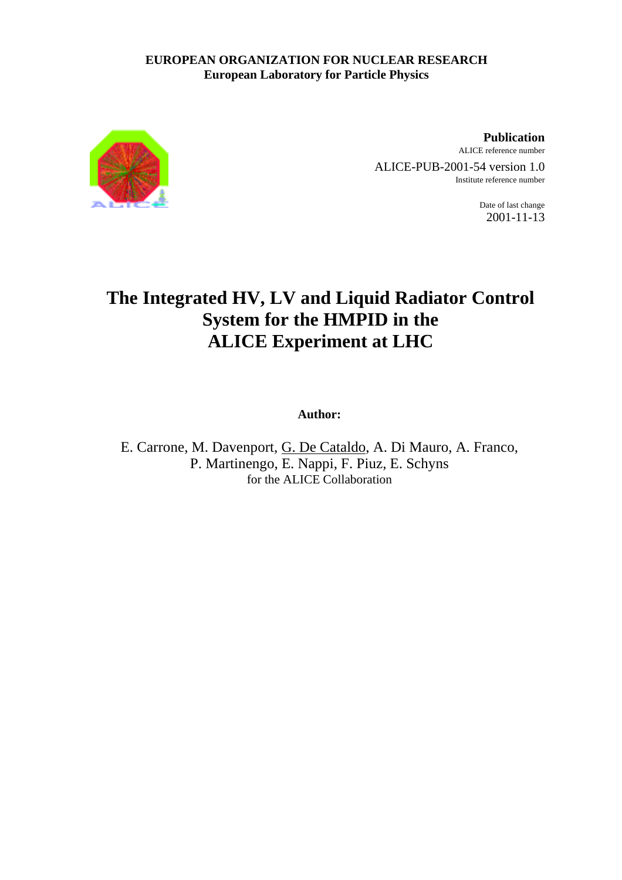# **EUROPEAN ORGANIZATION FOR NUCLEAR RESEARCH European Laboratory for Particle Physics**



**Publication** ALICE reference number ALICE-PUB-2001-54 version 1.0

Institute reference number

Date of last change 2001-11-13

# **The Integrated HV, LV and Liquid Radiator Control System for the HMPID in the ALICE Experiment at LHC**

**Author:**

E. Carrone, M. Davenport, G. De Cataldo, A. Di Mauro, A. Franco, P. Martinengo, E. Nappi, F. Piuz, E. Schyns for the ALICE Collaboration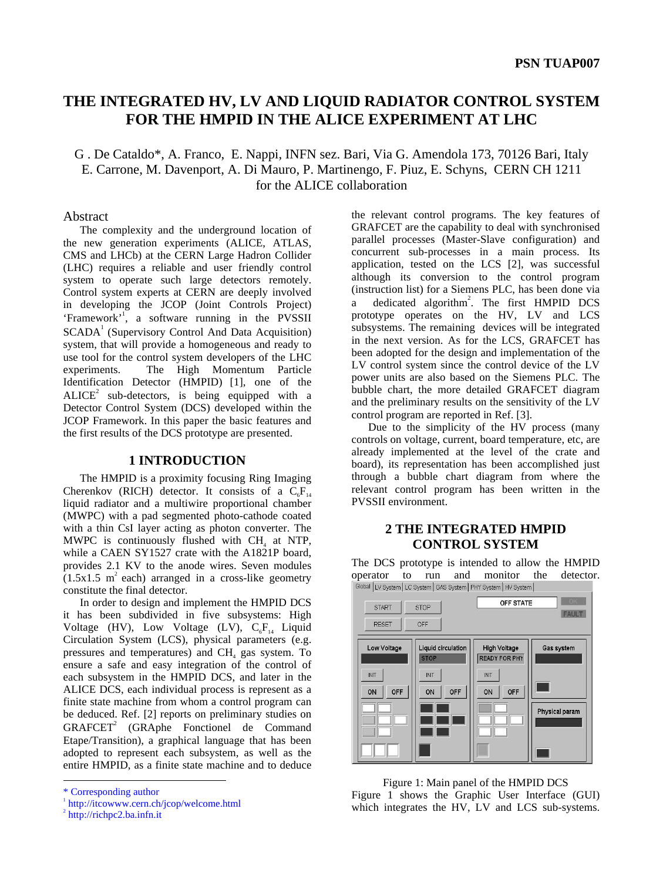# **THE INTEGRATED HV, LV AND LIQUID RADIATOR CONTROL SYSTEM FOR THE HMPID IN THE ALICE EXPERIMENT AT LHC**

# G . De Cataldo\*, A. Franco, E. Nappi, INFN sez. Bari, Via G. Amendola 173, 70126 Bari, Italy E. Carrone, M. Davenport, A. Di Mauro, P. Martinengo, F. Piuz, E. Schyns, CERN CH 1211 for the ALICE collaboration

#### Abstract

The complexity and the underground location of the new generation experiments (ALICE, ATLAS, CMS and LHCb) at the CERN Large Hadron Collider (LHC) requires a reliable and user friendly control system to operate such large detectors remotely. Control system experts at CERN are deeply involved in developing the JCOP (Joint Controls Project) 'Framework'<sup>1</sup>, a software running in the PVSSII SCADA<sup>1</sup> (Supervisory Control And Data Acquisition) system, that will provide a homogeneous and ready to use tool for the control system developers of the LHC experiments. The High Momentum Particle Identification Detector (HMPID) [1], one of the  $ALICE<sup>2</sup>$  sub-detectors, is being equipped with a Detector Control System (DCS) developed within the JCOP Framework. In this paper the basic features and the first results of the DCS prototype are presented.

#### **1 INTRODUCTION**

The HMPID is a proximity focusing Ring Imaging Cherenkov (RICH) detector. It consists of a  $C_6F_{14}$ liquid radiator and a multiwire proportional chamber (MWPC) with a pad segmented photo-cathode coated with a thin CsI layer acting as photon converter. The MWPC is continuously flushed with  $CH<sub>4</sub>$  at NTP, while a CAEN SY1527 crate with the A1821P board, provides 2.1 KV to the anode wires. Seven modules  $(1.5x1.5 \text{ m}^2 \text{ each})$  arranged in a cross-like geometry constitute the final detector.

In order to design and implement the HMPID DCS it has been subdivided in five subsystems: High Voltage (HV), Low Voltage (LV),  $C_6F_{14}$  Liquid Circulation System (LCS), physical parameters (e.g. pressures and temperatures) and CH<sub>4</sub> gas system. To ensure a safe and easy integration of the control of each subsystem in the HMPID DCS, and later in the ALICE DCS, each individual process is represent as a finite state machine from whom a control program can be deduced. Ref. [2] reports on preliminary studies on  $GRAFCET<sup>2</sup>$  ( $GRApple$  Fonctionel de Command Etape/Transition), a graphical language that has been adopted to represent each subsystem, as well as the entire HMPID, as a finite state machine and to deduce

-

the relevant control programs. The key features of GRAFCET are the capability to deal with synchronised parallel processes (Master-Slave configuration) and concurrent sub-processes in a main process. Its application, tested on the LCS [2], was successful although its conversion to the control program (instruction list) for a Siemens PLC, has been done via a dedicated algorithm<sup>2</sup>. The first HMPID DCS prototype operates on the HV, LV and LCS subsystems. The remaining devices will be integrated in the next version. As for the LCS, GRAFCET has been adopted for the design and implementation of the LV control system since the control device of the LV power units are also based on the Siemens PLC. The bubble chart, the more detailed GRAFCET diagram and the preliminary results on the sensitivity of the LV control program are reported in Ref. [3].

Due to the simplicity of the HV process (many controls on voltage, current, board temperature, etc, are already implemented at the level of the crate and board), its representation has been accomplished just through a bubble chart diagram from where the relevant control program has been written in the PVSSII environment.

# **2 THE INTEGRATED HMPID CONTROL SYSTEM**

The DCS prototype is intended to allow the HMPID operator to run and monitor the detector.<br>  $\frac{1}{100}$ 



Figure 1: Main panel of the HMPID DCS Figure 1 shows the Graphic User Interface (GUI) which integrates the HV, LV and LCS sub-systems.

<sup>\*</sup> Corresponding author

<sup>1</sup> http://itcowww.cern.ch/jcop/welcome.html

<sup>&</sup>lt;sup>2</sup> http://richpc2.ba.infn.it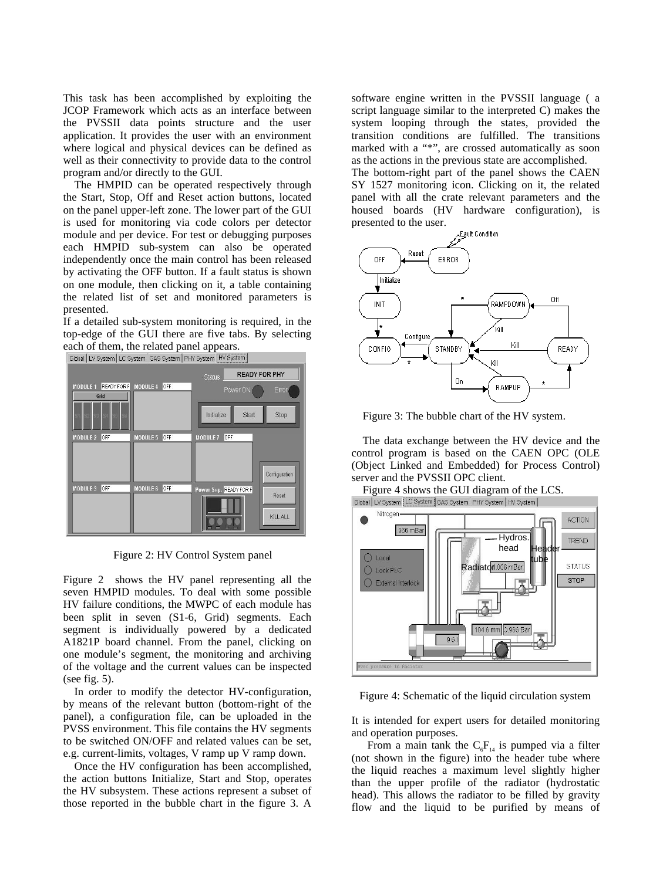This task has been accomplished by exploiting the JCOP Framework which acts as an interface between the PVSSII data points structure and the user application. It provides the user with an environment where logical and physical devices can be defined as well as their connectivity to provide data to the control program and/or directly to the GUI.

The HMPID can be operated respectively through the Start, Stop, Off and Reset action buttons, located on the panel upper-left zone. The lower part of the GUI is used for monitoring via code colors per detector module and per device. For test or debugging purposes each HMPID sub-system can also be operated independently once the main control has been released by activating the OFF button. If a fault status is shown on one module, then clicking on it, a table containing the related list of set and monitored parameters is presented.

If a detailed sub-system monitoring is required, in the top-edge of the GUI there are five tabs. By selecting each of them, the related panel appears.<br>  $\frac{1}{10^{10}}$   $\frac{1}{10^{10}}$   $\frac{1}{10^{10}}$   $\frac{1}{10^{10}}$   $\frac{1}{10^{10}}$   $\frac{1}{10^{10}}$   $\frac{1}{10^{10}}$   $\frac{1}{10^{10}}$   $\frac{1}{10^{10}}$   $\frac{1}{10^{10}}$   $\frac{1}{10^{10}}$   $\frac{1}{10^{10}}$ 



Figure 2: HV Control System panel

Figure 2 shows the HV panel representing all the seven HMPID modules. To deal with some possible HV failure conditions, the MWPC of each module has been split in seven (S1-6, Grid) segments. Each segment is individually powered by a dedicated A1821P board channel. From the panel, clicking on one module's segment, the monitoring and archiving of the voltage and the current values can be inspected (see fig. 5).

In order to modify the detector HV-configuration, by means of the relevant button (bottom-right of the panel), a configuration file, can be uploaded in the PVSS environment. This file contains the HV segments to be switched ON/OFF and related values can be set, e.g. current-limits, voltages, V ramp up V ramp down.

Once the HV configuration has been accomplished, the action buttons Initialize, Start and Stop, operates the HV subsystem. These actions represent a subset of those reported in the bubble chart in the figure 3. A

software engine written in the PVSSII language ( a script language similar to the interpreted C) makes the system looping through the states, provided the transition conditions are fulfilled. The transitions marked with a "\*", are crossed automatically as soon as the actions in the previous state are accomplished. The bottom-right part of the panel shows the CAEN SY 1527 monitoring icon. Clicking on it, the related panel with all the crate relevant parameters and the housed boards (HV hardware configuration), is



Figure 3: The bubble chart of the HV system.

The data exchange between the HV device and the control program is based on the CAEN OPC (OLE (Object Linked and Embedded) for Process Control) server and the PVSSII OPC client.

Figure 4 shows the GUI diagram of the LCS.<br>Global | LV System | LC System | GAS System | PHY System | HV System |



Figure 4: Schematic of the liquid circulation system

It is intended for expert users for detailed monitoring and operation purposes.

From a main tank the  $C_6F_{14}$  is pumped via a filter (not shown in the figure) into the header tube where the liquid reaches a maximum level slightly higher than the upper profile of the radiator (hydrostatic head). This allows the radiator to be filled by gravity flow and the liquid to be purified by means of